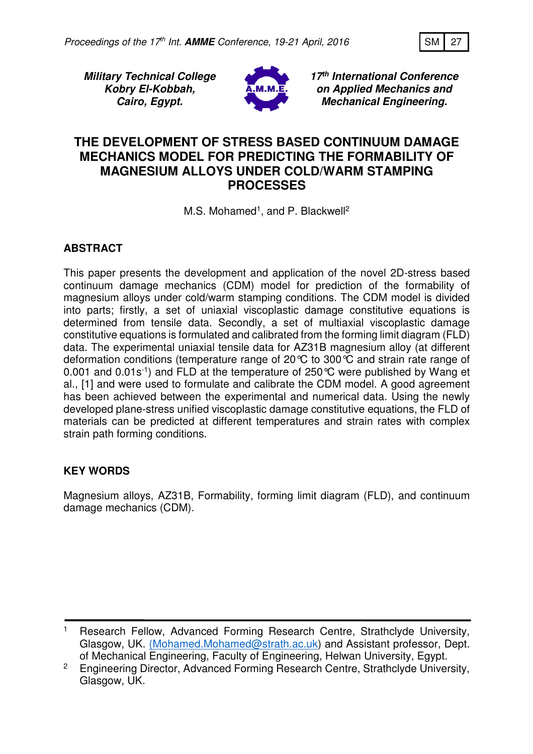

**Military Technical College Kobry El-Kobbah, Cairo, Egypt.**



**17th International Conference on Applied Mechanics and Mechanical Engineering.**

# **THE DEVELOPMENT OF STRESS BASED CONTINUUM DAMAGE MECHANICS MODEL FOR PREDICTING THE FORMABILITY OF MAGNESIUM ALLOYS UNDER COLD/WARM STAMPING PROCESSES**

M.S. Mohamed<sup>1</sup>, and P. Blackwell<sup>2</sup>

# **ABSTRACT**

This paper presents the development and application of the novel 2D-stress based continuum damage mechanics (CDM) model for prediction of the formability of magnesium alloys under cold/warm stamping conditions. The CDM model is divided into parts; firstly, a set of uniaxial viscoplastic damage constitutive equations is determined from tensile data. Secondly, a set of multiaxial viscoplastic damage constitutive equations is formulated and calibrated from the forming limit diagram (FLD) data. The experimental uniaxial tensile data for AZ31B magnesium alloy (at different deformation conditions (temperature range of 20°C to 300°C and strain rate range of 0.001 and 0.01s-1) and FLD at the temperature of 250°C were published by Wang et al., [1] and were used to formulate and calibrate the CDM model. A good agreement has been achieved between the experimental and numerical data. Using the newly developed plane-stress unified viscoplastic damage constitutive equations, the FLD of materials can be predicted at different temperatures and strain rates with complex strain path forming conditions.

# **KEY WORDS**

Magnesium alloys, AZ31B, Formability, forming limit diagram (FLD), and continuum damage mechanics (CDM).

<sup>1</sup> Research Fellow, Advanced Forming Research Centre, Strathclyde University, Glasgow, UK. (Mohamed.Mohamed@strath.ac.uk) and Assistant professor, Dept. of Mechanical Engineering, Faculty of Engineering, Helwan University, Egypt.

<sup>&</sup>lt;sup>2</sup> Engineering Director, Advanced Forming Research Centre, Strathclyde University, Glasgow, UK.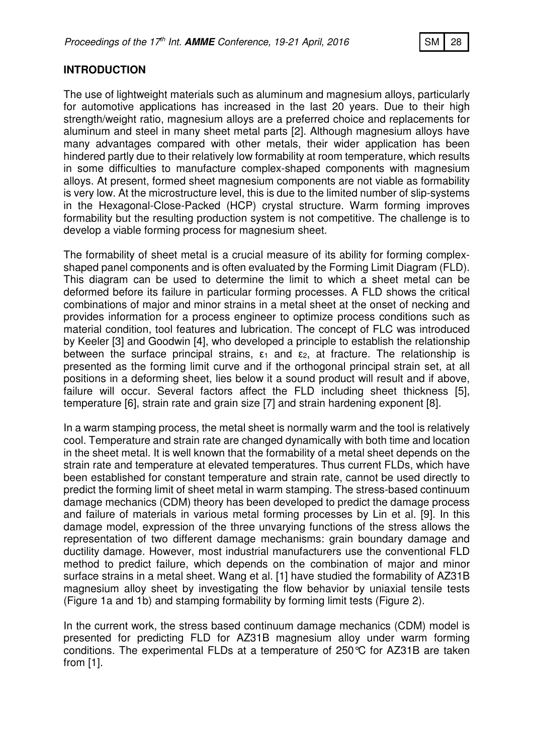## **INTRODUCTION**

The use of lightweight materials such as aluminum and magnesium alloys, particularly for automotive applications has increased in the last 20 years. Due to their high strength/weight ratio, magnesium alloys are a preferred choice and replacements for aluminum and steel in many sheet metal parts [2]. Although magnesium alloys have many advantages compared with other metals, their wider application has been hindered partly due to their relatively low formability at room temperature, which results in some difficulties to manufacture complex-shaped components with magnesium alloys. At present, formed sheet magnesium components are not viable as formability is very low. At the microstructure level, this is due to the limited number of slip-systems in the Hexagonal-Close-Packed (HCP) crystal structure. Warm forming improves formability but the resulting production system is not competitive. The challenge is to develop a viable forming process for magnesium sheet.

The formability of sheet metal is a crucial measure of its ability for forming complexshaped panel components and is often evaluated by the Forming Limit Diagram (FLD). This diagram can be used to determine the limit to which a sheet metal can be deformed before its failure in particular forming processes. A FLD shows the critical combinations of major and minor strains in a metal sheet at the onset of necking and provides information for a process engineer to optimize process conditions such as material condition, tool features and lubrication. The concept of FLC was introduced by Keeler [3] and Goodwin [4], who developed a principle to establish the relationship between the surface principal strains,  $\varepsilon_1$  and  $\varepsilon_2$ , at fracture. The relationship is presented as the forming limit curve and if the orthogonal principal strain set, at all positions in a deforming sheet, lies below it a sound product will result and if above, failure will occur. Several factors affect the FLD including sheet thickness [5], temperature [6], strain rate and grain size [7] and strain hardening exponent [8].

In a warm stamping process, the metal sheet is normally warm and the tool is relatively cool. Temperature and strain rate are changed dynamically with both time and location in the sheet metal. It is well known that the formability of a metal sheet depends on the strain rate and temperature at elevated temperatures. Thus current FLDs, which have been established for constant temperature and strain rate, cannot be used directly to predict the forming limit of sheet metal in warm stamping. The stress-based continuum damage mechanics (CDM) theory has been developed to predict the damage process and failure of materials in various metal forming processes by Lin et al. [9]. In this damage model, expression of the three unvarying functions of the stress allows the representation of two different damage mechanisms: grain boundary damage and ductility damage. However, most industrial manufacturers use the conventional FLD method to predict failure, which depends on the combination of major and minor surface strains in a metal sheet. Wang et al. [1] have studied the formability of AZ31B magnesium alloy sheet by investigating the flow behavior by uniaxial tensile tests (Figure 1a and 1b) and stamping formability by forming limit tests (Figure 2).

In the current work, the stress based continuum damage mechanics (CDM) model is presented for predicting FLD for AZ31B magnesium alloy under warm forming conditions. The experimental FLDs at a temperature of 250°C for AZ31B are taken from [1].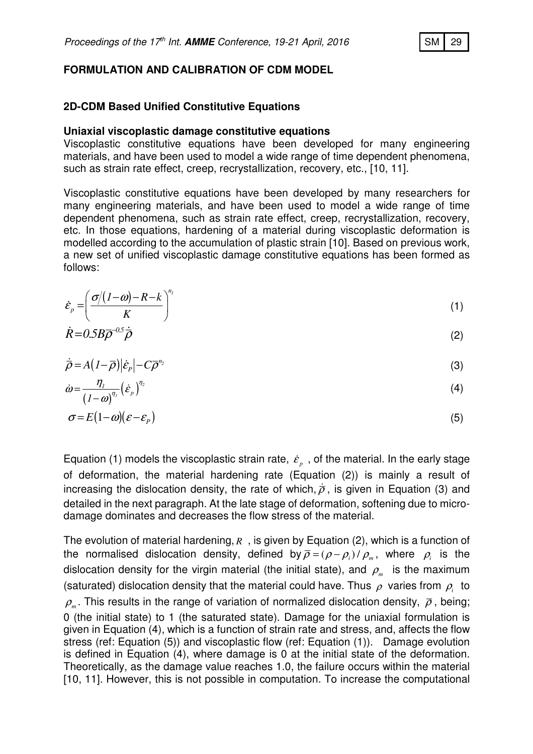### **FORMULATION AND CALIBRATION OF CDM MODEL**

### **2D-CDM Based Unified Constitutive Equations**

#### **Uniaxial viscoplastic damage constitutive equations**

Viscoplastic constitutive equations have been developed for many engineering materials, and have been used to model a wide range of time dependent phenomena, such as strain rate effect, creep, recrystallization, recovery, etc., [10, 11].

Viscoplastic constitutive equations have been developed by many researchers for many engineering materials, and have been used to model a wide range of time dependent phenomena, such as strain rate effect, creep, recrystallization, recovery, etc. In those equations, hardening of a material during viscoplastic deformation is modelled according to the accumulation of plastic strain [10]. Based on previous work, a new set of unified viscoplastic damage constitutive equations has been formed as follows:

$$
\dot{\mathcal{E}}_p = \left(\frac{\sigma/(1-\omega)-R-k}{K}\right)^{n_1} \tag{1}
$$

$$
\dot{R} = 0.5B\overline{\rho}^{-0.5}\dot{\overline{\rho}} \tag{2}
$$

$$
\dot{\overline{\rho}} = A\left(1-\overline{\rho}\right)|\dot{\varepsilon}_P| - C\overline{\rho}^{n_2} \tag{3}
$$

$$
\dot{\omega} = \frac{\eta_1}{(1-\omega)^{\eta_3}} \left(\dot{\varepsilon}_p\right)^{\eta_2} \tag{4}
$$

$$
\sigma = E(1-\omega)(\varepsilon - \varepsilon_p) \tag{5}
$$

Equation (1) models the viscoplastic strain rate,  $\dot{\varepsilon}_{{}_{p}}$  , of the material. In the early stage of deformation, the material hardening rate (Equation (2)) is mainly a result of increasing the dislocation density, the rate of which,  $\dot{\bar{\rho}}$ , is given in Equation (3) and detailed in the next paragraph. At the late stage of deformation, softening due to microdamage dominates and decreases the flow stress of the material.

The evolution of material hardening, *R* , is given by Equation (2), which is a function of the normalised dislocation density, defined by  $\overline{\rho} = (\rho - \rho_i) / \rho_m$ , where  $\rho_i$  is the dislocation density for the virgin material (the initial state), and  $\rho_{_m}$  is the maximum (saturated) dislocation density that the material could have. Thus  $\rho$  varies from  $\rho_i^+$  to  $\rho_{\scriptscriptstyle m}$ . This results in the range of variation of normalized dislocation density,  $\bar{\rho}$  , being; 0 (the initial state) to 1 (the saturated state). Damage for the uniaxial formulation is given in Equation (4), which is a function of strain rate and stress, and, affects the flow stress (ref: Equation (5)) and viscoplastic flow (ref: Equation (1)). Damage evolution is defined in Equation (4), where damage is 0 at the initial state of the deformation. Theoretically, as the damage value reaches 1.0, the failure occurs within the material [10, 11]. However, this is not possible in computation. To increase the computational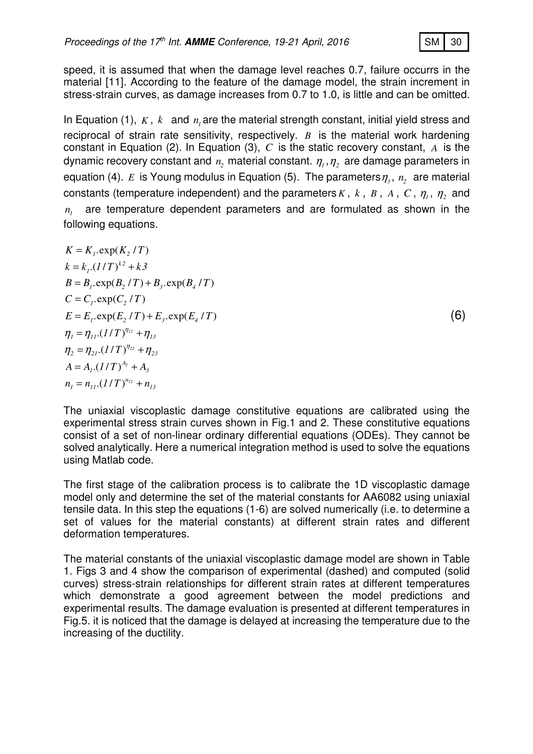

speed, it is assumed that when the damage level reaches 0.7, failure occurrs in the material [11]. According to the feature of the damage model, the strain increment in stress-strain curves, as damage increases from 0.7 to 1.0, is little and can be omitted.

In Equation (1),  $K$ ,  $k$  and  $n<sub>l</sub>$  are the material strength constant, initial yield stress and reciprocal of strain rate sensitivity, respectively. *B* is the material work hardening constant in Equation (2). In Equation (3), *C* is the static recovery constant, *A* is the dynamic recovery constant and  $n_{\scriptscriptstyle 2}$  material constant.  $\eta_{\scriptscriptstyle 1},\eta_{\scriptscriptstyle 2}$  are damage parameters in equation (4).  $E$  is Young modulus in Equation (5). The parameters $\eta_{_3},\,n_{_2}\,$  are material constants (temperature independent) and the parameters  $K$  ,  $k$  ,  $B$  ,  $A$  ,  $C$  ,  $\eta$ <sub>1</sub> ,  $\eta$ <sub>2</sub> and  $n<sub>l</sub>$  are temperature dependent parameters and are formulated as shown in the following equations.

 $K = K_{i}$ .exp(K, /T)  $k = k_{i}.(1/T)^{k^{2}} + k^{3}$  $B = B_i$ ,  $\exp(B_i / T) + B_i$ ,  $\exp(B_i / T)$  $C = C_i$ .exp $(C_i / T)$  $E = E_t \cdot \exp(E_t / T) + E_t \cdot \exp(E_t / T)$  (6)  $\eta_1 = \eta_{11} (1/T)^{\eta_{12}} + \eta_{13}$  $\eta_2 = \eta_{21} (1/T)^{\eta_{22}} + \eta_{23}$  $A = A_1 (1/T)^{A_2} + A_3$  $n_{1} = n_{11} (1/T)^{n_{12}} + n_{13}$ 

The uniaxial viscoplastic damage constitutive equations are calibrated using the experimental stress strain curves shown in Fig.1 and 2. These constitutive equations consist of a set of non-linear ordinary differential equations (ODEs). They cannot be solved analytically. Here a numerical integration method is used to solve the equations using Matlab code.

The first stage of the calibration process is to calibrate the 1D viscoplastic damage model only and determine the set of the material constants for AA6082 using uniaxial tensile data. In this step the equations (1-6) are solved numerically (i.e. to determine a set of values for the material constants) at different strain rates and different deformation temperatures.

The material constants of the uniaxial viscoplastic damage model are shown in Table 1. Figs 3 and 4 show the comparison of experimental (dashed) and computed (solid curves) stress-strain relationships for different strain rates at different temperatures which demonstrate a good agreement between the model predictions and experimental results. The damage evaluation is presented at different temperatures in Fig.5. it is noticed that the damage is delayed at increasing the temperature due to the increasing of the ductility.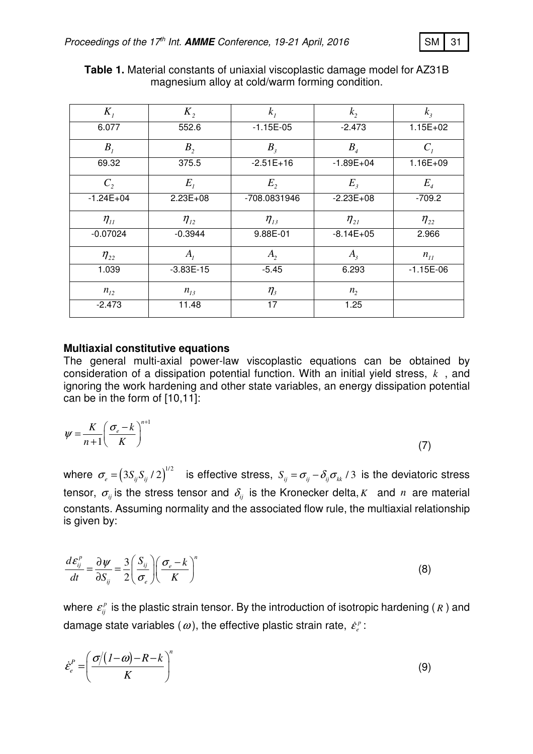| м |  |
|---|--|
|   |  |

| $K_{I}$                        | $K_{2}$        | $k_i$          | $k_{2}$                    | $k_{\scriptscriptstyle{3}}$ |
|--------------------------------|----------------|----------------|----------------------------|-----------------------------|
| 6.077                          | 552.6          | $-1.15E-05$    | $-2.473$                   | $1.15E + 02$                |
| $B_{I}$                        | B <sub>2</sub> | $B_{\rm 3}$    | $B_{\scriptscriptstyle 4}$ | $C_i$                       |
| 69.32                          | 375.5          | $-2.51E+16$    | $-1.89E + 04$              | $1.16E + 09$                |
| $C_{2}$                        | $E_{I}$        | E <sub>2</sub> | $E_{\rm{2}}$               | $E_{\scriptscriptstyle 4}$  |
| $-1.24E + 04$                  | $2.23E + 08$   | -708.0831946   | $-2.23E+08$                | $-709.2$                    |
| $\eta_{\scriptscriptstyle II}$ | $\eta_{12}$    | $\eta_{13}$    | $\eta_{21}$                | $\eta_{22}$                 |
| $-0.07024$                     | $-0.3944$      | 9.88E-01       | $-8.14E+05$                | 2.966                       |
| $\eta_{22}$                    | $A_i$          | $A_{2}$        | $A_{3}$                    | $n_{11}$                    |
| 1.039                          | $-3.83E-15$    | $-5.45$        | 6.293                      | $-1.15E-06$                 |
| $n_{12}$                       | $n_{13}$       | $\eta_{3}$     | n <sub>2</sub>             |                             |
| $-2.473$                       | 11.48          | 17             | 1.25                       |                             |

**Table 1.** Material constants of uniaxial viscoplastic damage model for AZ31B magnesium alloy at cold/warm forming condition.

### **Multiaxial constitutive equations**

The general multi-axial power-law viscoplastic equations can be obtained by consideration of a dissipation potential function. With an initial yield stress, *k* , and ignoring the work hardening and other state variables, an energy dissipation potential can be in the form of [10,11]:

$$
\psi = \frac{K}{n+1} \left( \frac{\sigma_e - k}{K} \right)^{n+1} \tag{7}
$$

where  $\sigma_e = (3S_{ij}S_{ij} / 2)^{1/2}$  is effective stress,  $S_{ij} = \sigma_{ij} - \delta_{ij}\sigma_{kk} / 3$  is the deviatoric stress tensor,  $\sigma_{ij}$  is the stress tensor and  $\delta_{ij}$  is the Kronecker delta, *K* and *n* are material constants. Assuming normality and the associated flow rule, the multiaxial relationship is given by:

$$
\frac{d\varepsilon_{ij}^p}{dt} = \frac{\partial \psi}{\partial S_{ij}} = \frac{3}{2} \left( \frac{S_{ij}}{\sigma_e} \right) \left( \frac{\sigma_e - k}{K} \right)^n \tag{8}
$$

where  $\varepsilon_{ij}^p$  is the plastic strain tensor. By the introduction of isotropic hardening (*R* ) and damage state variables ( $\omega$ ), the effective plastic strain rate,  $\dot{\varepsilon}^{\scriptscriptstyle p}_{\scriptscriptstyle e}$ :

$$
\dot{\varepsilon}_e^P = \left(\frac{\sigma/(1-\omega)-R-k}{K}\right)^n\tag{9}
$$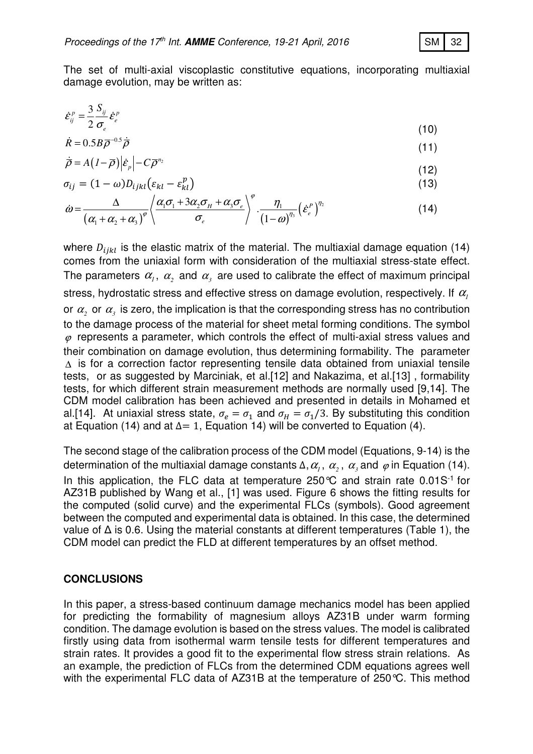The set of multi-axial viscoplastic constitutive equations, incorporating multiaxial damage evolution, may be written as:

$$
\dot{\varepsilon}_{ij}^p = \frac{3}{2} \frac{S_{ij}}{\sigma_e} \dot{\varepsilon}_e^p
$$
 (10)

$$
\dot{R} = 0.5B\overline{\rho}^{-0.5}\dot{\overline{\rho}} \tag{11}
$$

$$
\dot{\overline{\rho}} = A\left(I - \overline{\rho}\right) \left|\dot{\varepsilon}_p\right| - C \overline{\rho}^{n_2} \tag{12}
$$

$$
\sigma_{ij} = (1 - \omega) D_{ijkl} (\varepsilon_{kl} - \varepsilon_{kl}^p)
$$
\n(13)

$$
\dot{\omega} = \frac{\Delta}{\left(\alpha_1 + \alpha_2 + \alpha_3\right)^{\varphi}} \left\langle \frac{\alpha_1 \sigma_1 + 3 \alpha_2 \sigma_H + \alpha_3 \sigma_e}{\sigma_e} \right\rangle^{\varphi} \cdot \frac{\eta_1}{\left(1 - \omega\right)^{\eta_3}} \left(\dot{\varepsilon}_e^P\right)^{\eta_2} \tag{14}
$$

where  $D_{ijkl}$  is the elastic matrix of the material. The multiaxial damage equation (14) comes from the uniaxial form with consideration of the multiaxial stress-state effect. The parameters  $\alpha_{_I}, \ \alpha_{_2}$  and  $\alpha_{_3}$  are used to calibrate the effect of maximum principal stress, hydrostatic stress and effective stress on damage evolution, respectively. If  $\alpha$ <sup>1</sup> or  $\alpha_{\scriptscriptstyle 2}$  or  $\alpha_{\scriptscriptstyle 3}$  is zero, the implication is that the corresponding stress has no contribution to the damage process of the material for sheet metal forming conditions. The symbol  $\varphi$  represents a parameter, which controls the effect of multi-axial stress values and their combination on damage evolution, thus determining formability. The parameter ∆ is for a correction factor representing tensile data obtained from uniaxial tensile tests, or as suggested by Marciniak, et al.[12] and Nakazima, et al.[13] , formability tests, for which different strain measurement methods are normally used [9,14]. The CDM model calibration has been achieved and presented in details in Mohamed et al.[14]. At uniaxial stress state,  $\sigma_e = \sigma_1$  and  $\sigma_H = \sigma_1/3$ . By substituting this condition at Equation (14) and at  $\Delta = 1$ , Equation 14) will be converted to Equation (4).

The second stage of the calibration process of the CDM model (Equations, 9-14) is the determination of the multiaxial damage constants  $\Delta, \alpha_{_{\!I}},\ \alpha_{_{\!2}},\ \alpha_{_{\!3}}$  and  $\,\varphi$  in Equation (14). In this application, the FLC data at temperature  $250^{\circ}$ C and strain rate  $0.01S^{-1}$  for AZ31B published by Wang et al., [1] was used. Figure 6 shows the fitting results for the computed (solid curve) and the experimental FLCs (symbols). Good agreement between the computed and experimental data is obtained. In this case, the determined value of ∆ is 0.6. Using the material constants at different temperatures (Table 1), the CDM model can predict the FLD at different temperatures by an offset method.

## **CONCLUSIONS**

In this paper, a stress-based continuum damage mechanics model has been applied for predicting the formability of magnesium alloys AZ31B under warm forming condition. The damage evolution is based on the stress values. The model is calibrated firstly using data from isothermal warm tensile tests for different temperatures and strain rates. It provides a good fit to the experimental flow stress strain relations. As an example, the prediction of FLCs from the determined CDM equations agrees well with the experimental FLC data of AZ31B at the temperature of 250°C. This method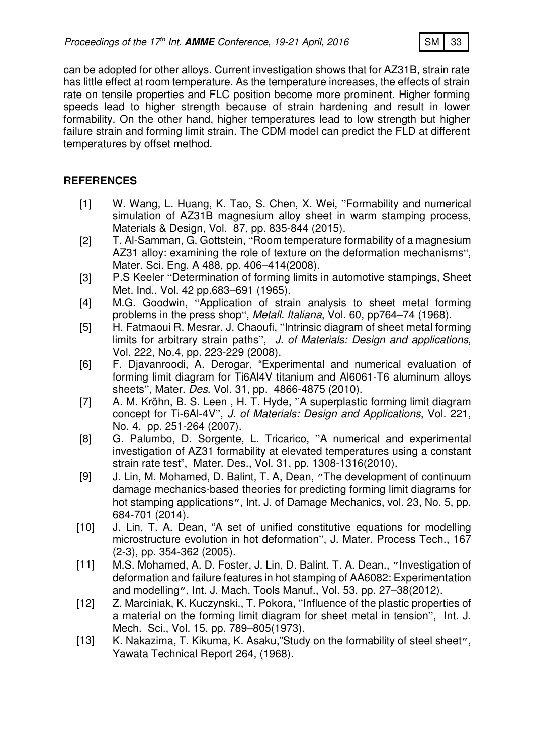

can be adopted for other alloys. Current investigation shows that for AZ31B, strain rate has little effect at room temperature. As the temperature increases, the effects of strain rate on tensile properties and FLC position become more prominent. Higher forming speeds lead to higher strength because of strain hardening and result in lower formability. On the other hand, higher temperatures lead to low strength but higher failure strain and forming limit strain. The CDM model can predict the FLD at different temperatures by offset method.

# **REFERENCES**

- [1] W. Wang, L. Huang, K. Tao, S. Chen, X. Wei, "Formability and numerical simulation of AZ31B magnesium alloy sheet in warm stamping process, Materials & Design, Vol. 87, pp. 835-844 (2015).
- [2] T. Al-Samman, G. Gottstein, "Room temperature formability of a magnesium AZ31 alloy: examining the role of texture on the deformation mechanisms", Mater. Sci. Eng. A 488, pp. 406–414(2008).
- [3] P.S Keeler "Determination of forming limits in automotive stampings, Sheet Met. Ind., Vol. 42 pp.683–691 (1965).
- [4] M.G. Goodwin, "Application of strain analysis to sheet metal forming problems in the press shop", Metall. Italiana, Vol. 60, pp764–74 (1968).
- [5] H. Fatmaoui R. Mesrar, J. Chaoufi, "Intrinsic diagram of sheet metal forming limits for arbitrary strain paths", J. of Materials: Design and applications, Vol. 222, No.4, pp. 223-229 (2008).
- [6] F. Djavanroodi, A. Derogar, "Experimental and numerical evaluation of forming limit diagram for Ti6Al4V titanium and Al6061-T6 aluminum alloys sheets", Mater. Des. Vol. 31, pp. 4866-4875 (2010).
- [7] A. M. Kröhn, B. S. Leen , H. T. Hyde, "A superplastic forming limit diagram concept for Ti-6Al-4V", J. of Materials: Design and Applications, Vol. 221, No. 4, pp. 251-264 (2007).
- [8] G. Palumbo, D. Sorgente, L. Tricarico, "A numerical and experimental investigation of AZ31 formability at elevated temperatures using a constant strain rate test", Mater. Des., Vol. 31, pp. 1308-1316(2010).
- [9] J. Lin, M. Mohamed, D. Balint, T. A, Dean, "The development of continuum damage mechanics-based theories for predicting forming limit diagrams for hot stamping applications", Int. J. of Damage Mechanics, vol. 23, No. 5, pp. 684-701 (2014).
- [10] J. Lin, T. A. Dean, "A set of unified constitutive equations for modelling microstructure evolution in hot deformation", J. Mater. Process Tech., 167 (2-3), pp. 354-362 (2005).
- [11] M.S. Mohamed, A. D. Foster, J. Lin, D. Balint, T. A. Dean., "Investigation of deformation and failure features in hot stamping of AA6082: Experimentation and modelling", Int. J. Mach. Tools Manuf., Vol. 53, pp. 27–38(2012).
- [12] Z. Marciniak, K. Kuczynski., T. Pokora, "Influence of the plastic properties of a material on the forming limit diagram for sheet metal in tension", Int. J. Mech. Sci., Vol. 15, pp. 789–805(1973).
- [13] K. Nakazima, T. Kikuma, K. Asaku, "Study on the formability of steel sheet", Yawata Technical Report 264, (1968).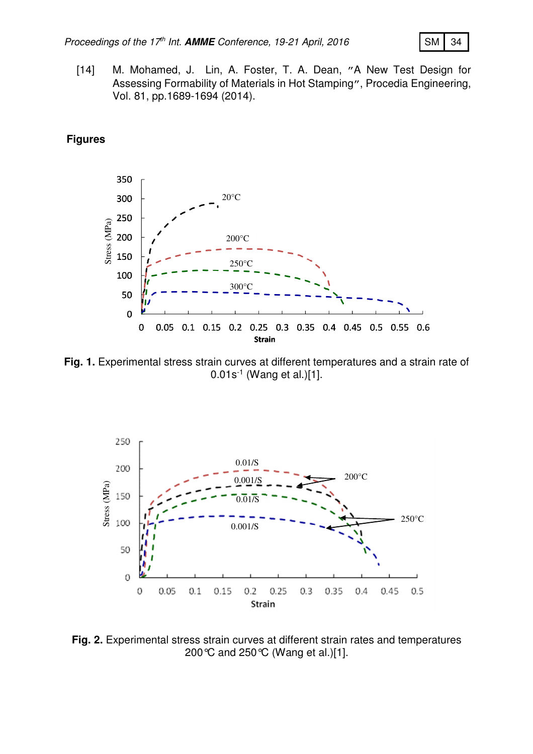

[14] M. Mohamed, J. Lin, A. Foster, T. A. Dean, "A New Test Design for Assessing Formability of Materials in Hot Stamping", Procedia Engineering, Vol. 81, pp.1689-1694 (2014).

## **Figures**



**Fig. 1.** Experimental stress strain curves at different temperatures and a strain rate of 0.01s-1 (Wang et al.)[1].



**Fig. 2.** Experimental stress strain curves at different strain rates and temperatures 200°C and 250°C (Wang et al.)[1].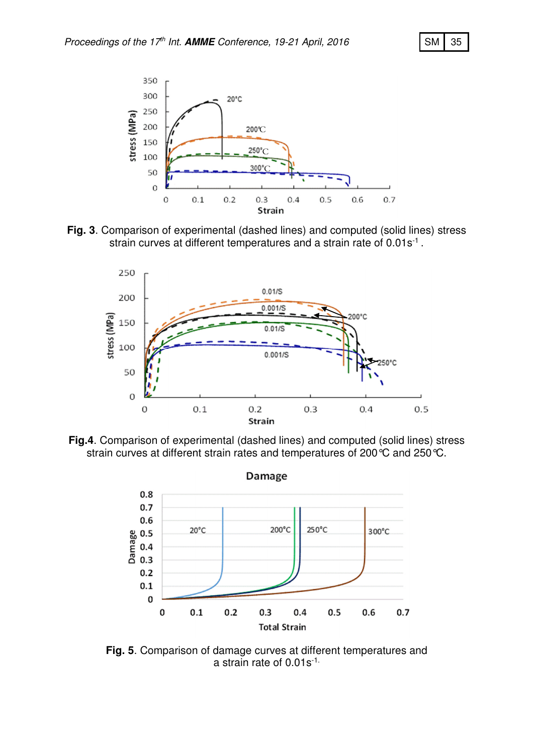





**Fig.4**. Comparison of experimental (dashed lines) and computed (solid lines) stress strain curves at different strain rates and temperatures of 200 °C and 250 °C.



**Fig. 5**. Comparison of damage curves at different temperatures and a strain rate of 0.01s-1.